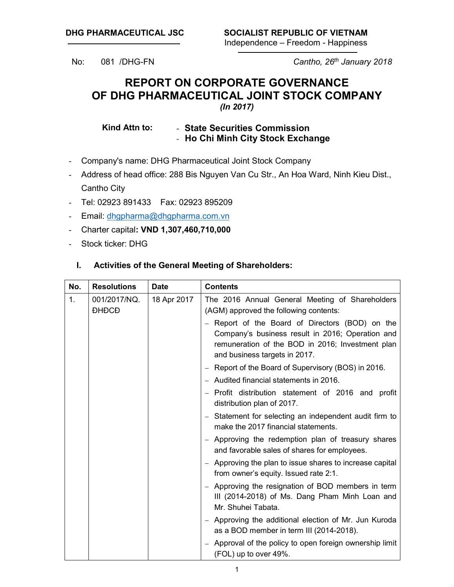No: 081 /DHG-FN *Cantho, 26th January 2018*

# **REPORT ON CORPORATE GOVERNANCE OF DHG PHARMACEUTICAL JOINT STOCK COMPANY** *(In 2017)*

**Kind Attn to:** - **State Securities Commission** - **Ho Chi Minh City Stock Exchange**

- Company's name: DHG Pharmaceutical Joint Stock Company
- Address of head office: 288 Bis Nguyen Van Cu Str., An Hoa Ward, Ninh Kieu Dist., Cantho City
- Tel: 02923 891433 Fax: 02923 895209
- Email: dhgpharma@dhgpharma.com.vn
- Charter capital**: VND 1,307,460,710,000**
- Stock ticker: DHG

#### **I. Activities of the General Meeting of Shareholders:**

| No. | <b>Resolutions</b>           | <b>Date</b> | <b>Contents</b>                                                                                                                                                                          |  |  |  |  |  |  |
|-----|------------------------------|-------------|------------------------------------------------------------------------------------------------------------------------------------------------------------------------------------------|--|--|--|--|--|--|
| 1.  | 001/2017/NQ.<br><b>DHDCD</b> | 18 Apr 2017 | The 2016 Annual General Meeting of Shareholders<br>(AGM) approved the following contents:                                                                                                |  |  |  |  |  |  |
|     |                              |             | - Report of the Board of Directors (BOD) on the<br>Company's business result in 2016; Operation and<br>remuneration of the BOD in 2016; Investment plan<br>and business targets in 2017. |  |  |  |  |  |  |
|     |                              |             | - Report of the Board of Supervisory (BOS) in 2016.                                                                                                                                      |  |  |  |  |  |  |
|     |                              |             | - Audited financial statements in 2016.                                                                                                                                                  |  |  |  |  |  |  |
|     |                              |             | - Profit distribution statement of 2016 and profit<br>distribution plan of 2017.                                                                                                         |  |  |  |  |  |  |
|     |                              |             | - Statement for selecting an independent audit firm to<br>make the 2017 financial statements.                                                                                            |  |  |  |  |  |  |
|     |                              |             | - Approving the redemption plan of treasury shares<br>and favorable sales of shares for employees.                                                                                       |  |  |  |  |  |  |
|     |                              |             | - Approving the plan to issue shares to increase capital<br>from owner's equity. Issued rate 2:1.                                                                                        |  |  |  |  |  |  |
|     |                              |             | - Approving the resignation of BOD members in term<br>III (2014-2018) of Ms. Dang Pham Minh Loan and<br>Mr. Shuhei Tabata.                                                               |  |  |  |  |  |  |
|     |                              |             | - Approving the additional election of Mr. Jun Kuroda<br>as a BOD member in term III (2014-2018).                                                                                        |  |  |  |  |  |  |
|     |                              |             | - Approval of the policy to open foreign ownership limit<br>(FOL) up to over 49%.                                                                                                        |  |  |  |  |  |  |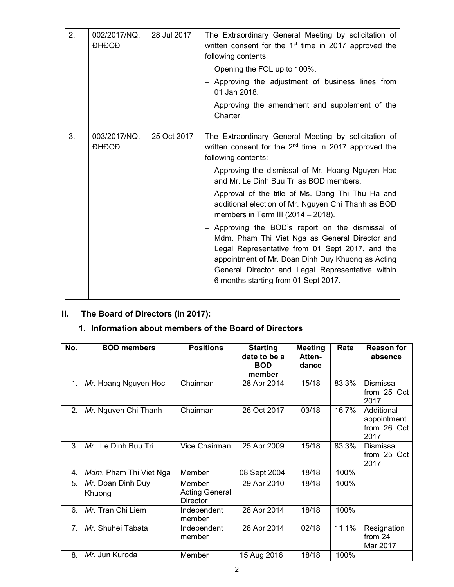| 2. | 002/2017/NQ.<br><b>DHDCD</b> | 28 Jul 2017 | The Extraordinary General Meeting by solicitation of<br>written consent for the 1 <sup>st</sup> time in 2017 approved the<br>following contents:                                                                                                                                                       |
|----|------------------------------|-------------|--------------------------------------------------------------------------------------------------------------------------------------------------------------------------------------------------------------------------------------------------------------------------------------------------------|
|    |                              |             | - Opening the FOL up to 100%.                                                                                                                                                                                                                                                                          |
|    |                              |             | - Approving the adjustment of business lines from<br>01 Jan 2018.                                                                                                                                                                                                                                      |
|    |                              |             | - Approving the amendment and supplement of the<br>Charter.                                                                                                                                                                                                                                            |
| 3. | 003/2017/NQ.<br><b>DHDCD</b> | 25 Oct 2017 | The Extraordinary General Meeting by solicitation of<br>written consent for the 2 <sup>nd</sup> time in 2017 approved the<br>following contents:                                                                                                                                                       |
|    |                              |             | - Approving the dismissal of Mr. Hoang Nguyen Hoc<br>and Mr. Le Dinh Buu Tri as BOD members.                                                                                                                                                                                                           |
|    |                              |             | - Approval of the title of Ms. Dang Thi Thu Ha and<br>additional election of Mr. Nguyen Chi Thanh as BOD<br>members in Term III (2014 $-$ 2018).                                                                                                                                                       |
|    |                              |             | - Approving the BOD's report on the dismissal of<br>Mdm. Pham Thi Viet Nga as General Director and<br>Legal Representative from 01 Sept 2017, and the<br>appointment of Mr. Doan Dinh Duy Khuong as Acting<br>General Director and Legal Representative within<br>6 months starting from 01 Sept 2017. |

# **II. The Board of Directors (In 2017):**

# **1. Information about members of the Board of Directors**

| No.            | <b>BOD</b> members     | <b>Positions</b>      | <b>Starting</b> | <b>Meeting</b> | Rate  | <b>Reason for</b>   |
|----------------|------------------------|-----------------------|-----------------|----------------|-------|---------------------|
|                |                        |                       | date to be a    | Atten-         |       | absence             |
|                |                        |                       | <b>BOD</b>      | dance          |       |                     |
|                |                        |                       | member          |                |       |                     |
| 1.             | Mr. Hoang Nguyen Hoc   | Chairman              | 28 Apr 2014     | 15/18          | 83.3% | <b>Dismissal</b>    |
|                |                        |                       |                 |                |       | from 25 Oct<br>2017 |
| 2.             | Mr. Nguyen Chi Thanh   | Chairman              | 26 Oct 2017     | 03/18          | 16.7% | Additional          |
|                |                        |                       |                 |                |       | appointment         |
|                |                        |                       |                 |                |       | from 26 Oct<br>2017 |
| 3.             | Mr. Le Dinh Buu Tri    | Vice Chairman         | 25 Apr 2009     | 15/18          | 83.3% | Dismissal           |
|                |                        |                       |                 |                |       | from 25 Oct         |
|                |                        |                       |                 |                |       | 2017                |
| 4.             | Mdm. Pham Thi Viet Nga | Member                | 08 Sept 2004    | 18/18          | 100%  |                     |
| 5.             | Mr. Doan Dinh Duy      | Member                | 29 Apr 2010     | 18/18          | 100%  |                     |
|                | Khuong                 | <b>Acting General</b> |                 |                |       |                     |
|                |                        | <b>Director</b>       |                 |                |       |                     |
| 6.             | Mr. Tran Chi Liem      | Independent<br>member | 28 Apr 2014     | 18/18          | 100%  |                     |
| 7 <sub>1</sub> | Mr. Shuhei Tabata      | Independent           | 28 Apr 2014     | 02/18          | 11.1% | Resignation         |
|                |                        | member                |                 |                |       | from 24             |
|                |                        |                       |                 |                |       | Mar 2017            |
| 8.             | Mr. Jun Kuroda         | Member                | 15 Aug 2016     | 18/18          | 100%  |                     |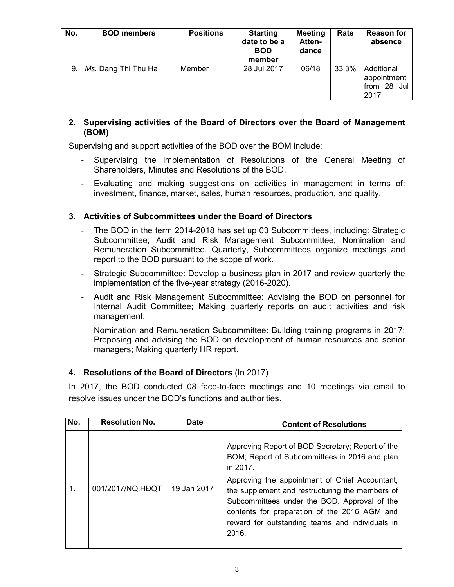| No. | <b>BOD members</b>  | <b>Positions</b> | <b>Starting</b><br>date to be a<br><b>BOD</b><br>member | <b>Meeting</b><br>Atten-<br>dance | Rate  | <b>Reason for</b><br>absence                     |
|-----|---------------------|------------------|---------------------------------------------------------|-----------------------------------|-------|--------------------------------------------------|
| 9.  | Ms. Dang Thi Thu Ha | Member           | 28 Jul 2017                                             | 06/18                             | 33.3% | Additional<br>appointment<br>from 28 Jul<br>2017 |

#### **2. Supervising activities of the Board of Directors over the Board of Management (BOM)**

Supervising and support activities of the BOD over the BOM include:

- Supervising the implementation of Resolutions of the General Meeting of Shareholders, Minutes and Resolutions of the BOD.
- Evaluating and making suggestions on activities in management in terms of: investment, finance, market, sales, human resources, production, and quality.

# **3. Activities of Subcommittees under the Board of Directors**

- The BOD in the term 2014-2018 has set up 03 Subcommittees, including: Strategic Subcommittee; Audit and Risk Management Subcommittee; Nomination and Remuneration Subcommittee. Quarterly, Subcommittees organize meetings and report to the BOD pursuant to the scope of work.
- Strategic Subcommittee: Develop a business plan in 2017 and review quarterly the implementation of the five-year strategy (2016-2020).
- Audit and Risk Management Subcommittee: Advising the BOD on personnel for Internal Audit Committee; Making quarterly reports on audit activities and risk management.
- Nomination and Remuneration Subcommittee: Building training programs in 2017; Proposing and advising the BOD on development of human resources and senior managers; Making quarterly HR report.

# **4. Resolutions of the Board of Directors** (In 2017)

In 2017, the BOD conducted 08 face-to-face meetings and 10 meetings via email to resolve issues under the BOD's functions and authorities.

| No. | <b>Resolution No.</b> | <b>Date</b> | <b>Content of Resolutions</b>                                                                                                                                                                                                                                                                                                                                                  |
|-----|-----------------------|-------------|--------------------------------------------------------------------------------------------------------------------------------------------------------------------------------------------------------------------------------------------------------------------------------------------------------------------------------------------------------------------------------|
|     | 001/2017/NQ.HDQT      | 19 Jan 2017 | Approving Report of BOD Secretary; Report of the<br>BOM; Report of Subcommittees in 2016 and plan<br>in 2017.<br>Approving the appointment of Chief Accountant,<br>the supplement and restructuring the members of<br>Subcommittees under the BOD. Approval of the<br>contents for preparation of the 2016 AGM and<br>reward for outstanding teams and individuals in<br>2016. |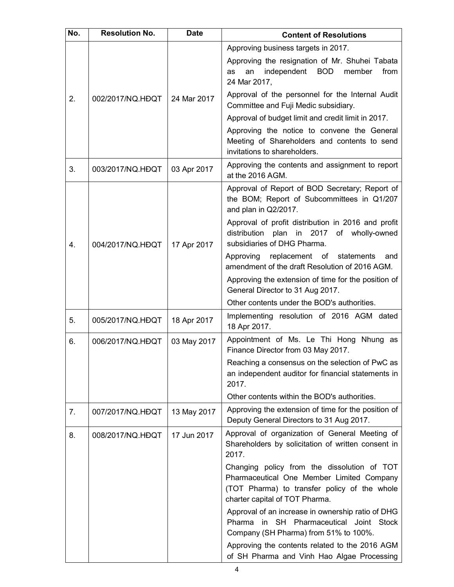| No. | <b>Resolution No.</b> | <b>Date</b> | <b>Content of Resolutions</b>                                                                                                                                              |
|-----|-----------------------|-------------|----------------------------------------------------------------------------------------------------------------------------------------------------------------------------|
|     |                       |             | Approving business targets in 2017.                                                                                                                                        |
|     |                       |             | Approving the resignation of Mr. Shuhei Tabata<br>independent<br><b>BOD</b><br>member<br>from<br>an<br>as<br>24 Mar 2017,                                                  |
| 2.  | 002/2017/NQ.HDQT      | 24 Mar 2017 | Approval of the personnel for the Internal Audit<br>Committee and Fuji Medic subsidiary.                                                                                   |
|     |                       |             | Approval of budget limit and credit limit in 2017.                                                                                                                         |
|     |                       |             | Approving the notice to convene the General<br>Meeting of Shareholders and contents to send<br>invitations to shareholders.                                                |
| 3.  | 003/2017/NQ.HĐQT      | 03 Apr 2017 | Approving the contents and assignment to report<br>at the 2016 AGM.                                                                                                        |
|     |                       |             | Approval of Report of BOD Secretary; Report of<br>the BOM; Report of Subcommittees in Q1/207<br>and plan in Q2/2017.                                                       |
| 4.  | 004/2017/NQ.HĐQT      | 17 Apr 2017 | Approval of profit distribution in 2016 and profit<br>distribution plan in 2017 of wholly-owned<br>subsidiaries of DHG Pharma.                                             |
|     |                       |             | Approving replacement of statements<br>and<br>amendment of the draft Resolution of 2016 AGM.                                                                               |
|     |                       |             | Approving the extension of time for the position of<br>General Director to 31 Aug 2017.                                                                                    |
|     |                       |             | Other contents under the BOD's authorities.                                                                                                                                |
| 5.  | 005/2017/NQ.HĐQT      | 18 Apr 2017 | Implementing resolution of 2016 AGM dated<br>18 Apr 2017.                                                                                                                  |
| 6.  | 006/2017/NQ.HDQT      | 03 May 2017 | Appointment of Ms. Le Thi Hong Nhung as<br>Finance Director from 03 May 2017.                                                                                              |
|     |                       |             | Reaching a consensus on the selection of PwC as<br>an independent auditor for financial statements in<br>2017.                                                             |
|     |                       |             | Other contents within the BOD's authorities.                                                                                                                               |
| 7.  | 007/2017/NQ.HĐQT      | 13 May 2017 | Approving the extension of time for the position of<br>Deputy General Directors to 31 Aug 2017.                                                                            |
| 8.  | 008/2017/NQ.HDQT      | 17 Jun 2017 | Approval of organization of General Meeting of<br>Shareholders by solicitation of written consent in<br>2017.                                                              |
|     |                       |             | Changing policy from the dissolution of TOT<br>Pharmaceutical One Member Limited Company<br>(TOT Pharma) to transfer policy of the whole<br>charter capital of TOT Pharma. |
|     |                       |             | Approval of an increase in ownership ratio of DHG<br>Pharma in SH Pharmaceutical Joint Stock<br>Company (SH Pharma) from 51% to 100%.                                      |
|     |                       |             | Approving the contents related to the 2016 AGM<br>of SH Pharma and Vinh Hao Algae Processing                                                                               |
|     |                       |             | 4                                                                                                                                                                          |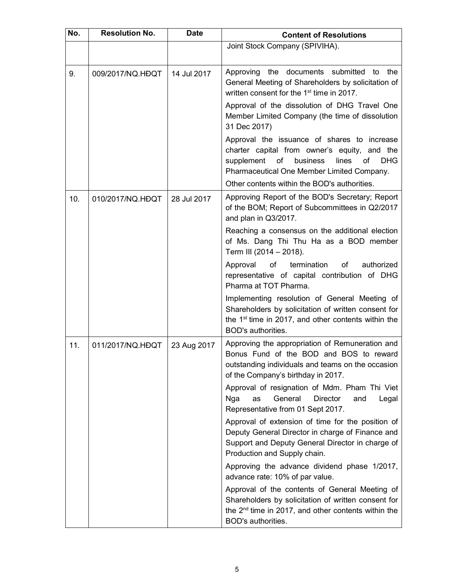| No. | <b>Resolution No.</b> | <b>Date</b> | <b>Content of Resolutions</b>                                                                                                                                                                          |
|-----|-----------------------|-------------|--------------------------------------------------------------------------------------------------------------------------------------------------------------------------------------------------------|
|     |                       |             | Joint Stock Company (SPIVIHA).                                                                                                                                                                         |
| 9.  | 009/2017/NQ.HDQT      | 14 Jul 2017 | Approving the<br>documents submitted<br>the<br>to<br>General Meeting of Shareholders by solicitation of<br>written consent for the 1 <sup>st</sup> time in 2017.                                       |
|     |                       |             | Approval of the dissolution of DHG Travel One<br>Member Limited Company (the time of dissolution<br>31 Dec 2017)                                                                                       |
|     |                       |             | Approval the issuance of shares to increase<br>charter capital from owner's equity, and the<br>business<br>supplement<br>of<br>lines<br>of<br><b>DHG</b><br>Pharmaceutical One Member Limited Company. |
|     |                       |             | Other contents within the BOD's authorities.                                                                                                                                                           |
| 10. | 010/2017/NQ.HDQT      | 28 Jul 2017 | Approving Report of the BOD's Secretary; Report<br>of the BOM; Report of Subcommittees in Q2/2017<br>and plan in Q3/2017.                                                                              |
|     |                       |             | Reaching a consensus on the additional election<br>of Ms. Dang Thi Thu Ha as a BOD member<br>Term III (2014 - 2018).                                                                                   |
|     |                       |             | termination<br>Approval<br>of<br>of<br>authorized<br>representative of capital contribution of DHG<br>Pharma at TOT Pharma.                                                                            |
|     |                       |             | Implementing resolution of General Meeting of<br>Shareholders by solicitation of written consent for<br>the 1 <sup>st</sup> time in 2017, and other contents within the<br>BOD's authorities.          |
| 11. | 011/2017/NQ.HDQT      | 23 Aug 2017 | Approving the appropriation of Remuneration and<br>Bonus Fund of the BOD and BOS to reward<br>outstanding individuals and teams on the occasion<br>of the Company's birthday in 2017.                  |
|     |                       |             | Approval of resignation of Mdm. Pham Thi Viet<br>General<br><b>Director</b><br>Nga<br>as<br>and<br>Legal<br>Representative from 01 Sept 2017.                                                          |
|     |                       |             | Approval of extension of time for the position of<br>Deputy General Director in charge of Finance and<br>Support and Deputy General Director in charge of<br>Production and Supply chain.              |
|     |                       |             | Approving the advance dividend phase 1/2017,<br>advance rate: 10% of par value.                                                                                                                        |
|     |                       |             | Approval of the contents of General Meeting of<br>Shareholders by solicitation of written consent for<br>the 2 <sup>nd</sup> time in 2017, and other contents within the<br>BOD's authorities.         |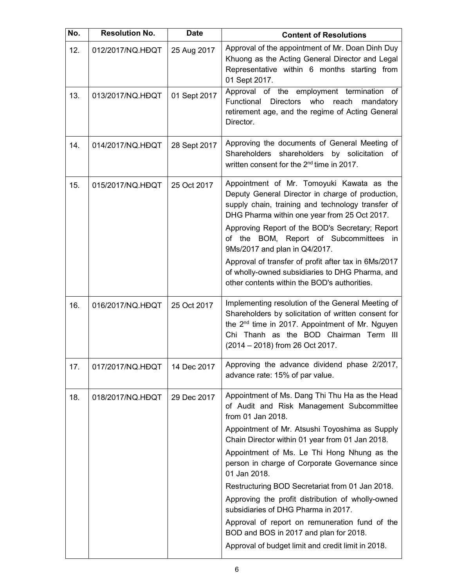| No. | <b>Resolution No.</b> | <b>Date</b>  | <b>Content of Resolutions</b>                                                                                                                                                                                                                                                                                                                                                                                                                                                                                                                                                                                                           |
|-----|-----------------------|--------------|-----------------------------------------------------------------------------------------------------------------------------------------------------------------------------------------------------------------------------------------------------------------------------------------------------------------------------------------------------------------------------------------------------------------------------------------------------------------------------------------------------------------------------------------------------------------------------------------------------------------------------------------|
| 12. | 012/2017/NQ.HDQT      | 25 Aug 2017  | Approval of the appointment of Mr. Doan Dinh Duy<br>Khuong as the Acting General Director and Legal<br>Representative within 6 months starting from<br>01 Sept 2017.                                                                                                                                                                                                                                                                                                                                                                                                                                                                    |
| 13. | 013/2017/NQ.HDQT      | 01 Sept 2017 | Approval of the employment termination<br>оf<br>Functional<br>Directors<br>who<br>reach<br>mandatory<br>retirement age, and the regime of Acting General<br>Director.                                                                                                                                                                                                                                                                                                                                                                                                                                                                   |
| 14. | 014/2017/NQ.HDQT      | 28 Sept 2017 | Approving the documents of General Meeting of<br>Shareholders shareholders by solicitation<br>оf<br>written consent for the 2 <sup>nd</sup> time in 2017.                                                                                                                                                                                                                                                                                                                                                                                                                                                                               |
| 15. | 015/2017/NQ.HĐQT      | 25 Oct 2017  | Appointment of Mr. Tomoyuki Kawata as the<br>Deputy General Director in charge of production,<br>supply chain, training and technology transfer of<br>DHG Pharma within one year from 25 Oct 2017.<br>Approving Report of the BOD's Secretary; Report<br>of the BOM, Report of Subcommittees in<br>9Ms/2017 and plan in Q4/2017.<br>Approval of transfer of profit after tax in 6Ms/2017<br>of wholly-owned subsidiaries to DHG Pharma, and<br>other contents within the BOD's authorities.                                                                                                                                             |
| 16. | 016/2017/NQ.HDQT      | 25 Oct 2017  | Implementing resolution of the General Meeting of<br>Shareholders by solicitation of written consent for<br>the 2 <sup>nd</sup> time in 2017. Appointment of Mr. Nguyen<br>Chi Thanh as the BOD Chairman Term III<br>(2014 - 2018) from 26 Oct 2017.                                                                                                                                                                                                                                                                                                                                                                                    |
| 17. | 017/2017/NQ.HDQT      | 14 Dec 2017  | Approving the advance dividend phase 2/2017,<br>advance rate: 15% of par value.                                                                                                                                                                                                                                                                                                                                                                                                                                                                                                                                                         |
| 18. | 018/2017/NQ.HDQT      | 29 Dec 2017  | Appointment of Ms. Dang Thi Thu Ha as the Head<br>of Audit and Risk Management Subcommittee<br>from 01 Jan 2018.<br>Appointment of Mr. Atsushi Toyoshima as Supply<br>Chain Director within 01 year from 01 Jan 2018.<br>Appointment of Ms. Le Thi Hong Nhung as the<br>person in charge of Corporate Governance since<br>01 Jan 2018.<br>Restructuring BOD Secretariat from 01 Jan 2018.<br>Approving the profit distribution of wholly-owned<br>subsidiaries of DHG Pharma in 2017.<br>Approval of report on remuneration fund of the<br>BOD and BOS in 2017 and plan for 2018.<br>Approval of budget limit and credit limit in 2018. |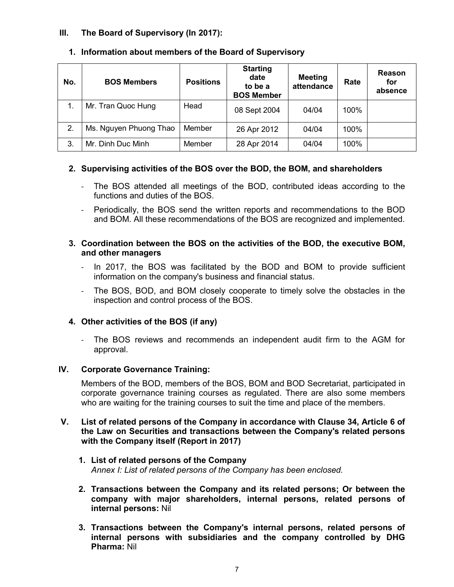# **III. The Board of Supervisory (In 2017):**

| No. | <b>BOS Members</b>     | <b>Positions</b> | <b>Starting</b><br>date<br>to be a<br><b>BOS Member</b> | <b>Meeting</b><br>attendance | Rate | Reason<br>for<br>absence |
|-----|------------------------|------------------|---------------------------------------------------------|------------------------------|------|--------------------------|
|     | Mr. Tran Quoc Hung     | Head             | 08 Sept 2004                                            | 04/04                        | 100% |                          |
| 2.  | Ms. Nguyen Phuong Thao | Member           | 26 Apr 2012                                             | 04/04                        | 100% |                          |
| 3.  | Mr. Dinh Duc Minh      | Member           | 28 Apr 2014                                             | 04/04                        | 100% |                          |

# **1. Information about members of the Board of Supervisory**

# **2. Supervising activities of the BOS over the BOD, the BOM, and shareholders**

- The BOS attended all meetings of the BOD, contributed ideas according to the functions and duties of the BOS.
- Periodically, the BOS send the written reports and recommendations to the BOD and BOM. All these recommendations of the BOS are recognized and implemented.

#### **3. Coordination between the BOS on the activities of the BOD, the executive BOM, and other managers**

- In 2017, the BOS was facilitated by the BOD and BOM to provide sufficient information on the company's business and financial status.
- The BOS, BOD, and BOM closely cooperate to timely solve the obstacles in the inspection and control process of the BOS.

#### **4. Other activities of the BOS (if any)**

- The BOS reviews and recommends an independent audit firm to the AGM for approval.

#### **IV. Corporate Governance Training:**

Members of the BOD, members of the BOS, BOM and BOD Secretariat, participated in corporate governance training courses as regulated. There are also some members who are waiting for the training courses to suit the time and place of the members.

#### **V. List of related persons of the Company in accordance with Clause 34, Article 6 of the Law on Securities and transactions between the Company's related persons with the Company itself (Report in 2017)**

#### **1. List of related persons of the Company** *Annex I: List of related persons of the Company has been enclosed.*

- **2. Transactions between the Company and its related persons; Or between the company with major shareholders, internal persons, related persons of internal persons:** Nil
- **3. Transactions between the Company's internal persons, related persons of internal persons with subsidiaries and the company controlled by DHG Pharma:** Nil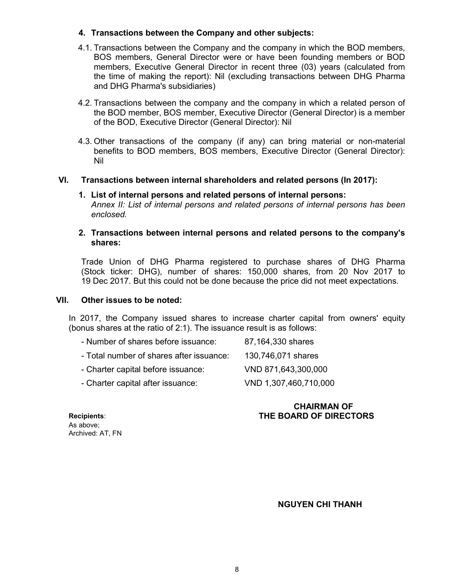# **4. Transactions between the Company and other subjects:**

- 4.1. Transactions between the Company and the company in which the BOD members, BOS members, General Director were or have been founding members or BOD members, Executive General Director in recent three (03) years (calculated from the time of making the report): Nil (excluding transactions between DHG Pharma and DHG Pharma's subsidiaries)
- 4.2. Transactions between the company and the company in which a related person of the BOD member, BOS member, Executive Director (General Director) is a member of the BOD, Executive Director (General Director): Nil
- 4.3. Other transactions of the company (if any) can bring material or non-material benefits to BOD members, BOS members, Executive Director (General Director): Nil

#### **VI. Transactions between internal shareholders and related persons (In 2017):**

#### **1. List of internal persons and related persons of internal persons:** *Annex II: List of internal persons and related persons of internal persons has been enclosed.*

#### **2. Transactions between internal persons and related persons to the company's shares:**

Trade Union of DHG Pharma registered to purchase shares of DHG Pharma (Stock ticker: DHG), number of shares: 150,000 shares, from 20 Nov 2017 to 19 Dec 2017. But this could not be done because the price did not meet expectations.

#### **VII. Other issues to be noted:**

In 2017, the Company issued shares to increase charter capital from owners' equity (bonus shares at the ratio of 2:1). The issuance result is as follows:

| - Number of shares before issuance:      | 87,164,330 shares     |
|------------------------------------------|-----------------------|
| - Total number of shares after issuance: | 130,746,071 shares    |
| - Charter capital before issuance:       | VND 871,643,300,000   |
| - Charter capital after issuance:        | VND 1,307,460,710,000 |

#### **CHAIRMAN OF THE BOARD OF DIRECTORS**

**Recipients**: As above; Archived: AT, FN

 **NGUYEN CHI THANH**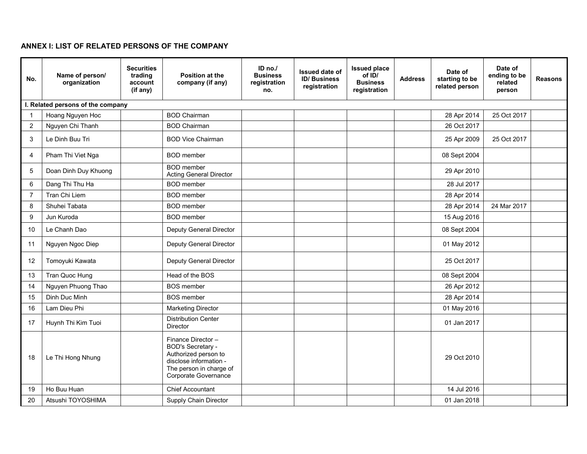# **ANNEX I: LIST OF RELATED PERSONS OF THE COMPANY**

| No.            | Name of person/<br>organization   | <b>Securities</b><br>trading<br>account<br>(if any) | Position at the<br>company (if any)                                                                                                                | $ID$ no./<br><b>Business</b><br>registration<br>no. | <b>Issued date of</b><br><b>ID/Business</b><br>registration | <b>Issued place</b><br>of ID/<br><b>Business</b><br>registration | <b>Address</b> | Date of<br>starting to be<br>related person | Date of<br>ending to be<br>related<br>person | <b>Reasons</b> |
|----------------|-----------------------------------|-----------------------------------------------------|----------------------------------------------------------------------------------------------------------------------------------------------------|-----------------------------------------------------|-------------------------------------------------------------|------------------------------------------------------------------|----------------|---------------------------------------------|----------------------------------------------|----------------|
|                | I. Related persons of the company |                                                     |                                                                                                                                                    |                                                     |                                                             |                                                                  |                |                                             |                                              |                |
| -1             | Hoang Nguyen Hoc                  |                                                     | <b>BOD Chairman</b>                                                                                                                                |                                                     |                                                             |                                                                  |                | 28 Apr 2014                                 | 25 Oct 2017                                  |                |
| $\overline{c}$ | Nguyen Chi Thanh                  |                                                     | <b>BOD Chairman</b>                                                                                                                                |                                                     |                                                             |                                                                  |                | 26 Oct 2017                                 |                                              |                |
| 3              | Le Dinh Buu Tri                   |                                                     | <b>BOD Vice Chairman</b>                                                                                                                           |                                                     |                                                             |                                                                  |                | 25 Apr 2009                                 | 25 Oct 2017                                  |                |
| 4              | Pham Thi Viet Nga                 |                                                     | <b>BOD</b> member                                                                                                                                  |                                                     |                                                             |                                                                  |                | 08 Sept 2004                                |                                              |                |
| 5              | Doan Dinh Duy Khuong              |                                                     | <b>BOD</b> member<br><b>Acting General Director</b>                                                                                                |                                                     |                                                             |                                                                  |                | 29 Apr 2010                                 |                                              |                |
| 6              | Dang Thi Thu Ha                   |                                                     | <b>BOD</b> member                                                                                                                                  |                                                     |                                                             |                                                                  |                | 28 Jul 2017                                 |                                              |                |
| $\overline{7}$ | Tran Chi Liem                     |                                                     | <b>BOD</b> member                                                                                                                                  |                                                     |                                                             |                                                                  |                | 28 Apr 2014                                 |                                              |                |
| 8              | Shuhei Tabata                     |                                                     | <b>BOD</b> member                                                                                                                                  |                                                     |                                                             |                                                                  |                | 28 Apr 2014                                 | 24 Mar 2017                                  |                |
| 9              | Jun Kuroda                        |                                                     | <b>BOD</b> member                                                                                                                                  |                                                     |                                                             |                                                                  |                | 15 Aug 2016                                 |                                              |                |
| 10             | Le Chanh Dao                      |                                                     | <b>Deputy General Director</b>                                                                                                                     |                                                     |                                                             |                                                                  |                | 08 Sept 2004                                |                                              |                |
| 11             | Nguyen Ngoc Diep                  |                                                     | Deputy General Director                                                                                                                            |                                                     |                                                             |                                                                  |                | 01 May 2012                                 |                                              |                |
| 12             | Tomoyuki Kawata                   |                                                     | Deputy General Director                                                                                                                            |                                                     |                                                             |                                                                  |                | 25 Oct 2017                                 |                                              |                |
| 13             | Tran Quoc Hung                    |                                                     | Head of the BOS                                                                                                                                    |                                                     |                                                             |                                                                  |                | 08 Sept 2004                                |                                              |                |
| 14             | Nguyen Phuong Thao                |                                                     | <b>BOS</b> member                                                                                                                                  |                                                     |                                                             |                                                                  |                | 26 Apr 2012                                 |                                              |                |
| 15             | Dinh Duc Minh                     |                                                     | <b>BOS</b> member                                                                                                                                  |                                                     |                                                             |                                                                  |                | 28 Apr 2014                                 |                                              |                |
| 16             | Lam Dieu Phi                      |                                                     | <b>Marketing Director</b>                                                                                                                          |                                                     |                                                             |                                                                  |                | 01 May 2016                                 |                                              |                |
| 17             | Huynh Thi Kim Tuoi                |                                                     | <b>Distribution Center</b><br><b>Director</b>                                                                                                      |                                                     |                                                             |                                                                  |                | 01 Jan 2017                                 |                                              |                |
| 18             | Le Thi Hong Nhung                 |                                                     | Finance Director-<br><b>BOD's Secretary -</b><br>Authorized person to<br>disclose information -<br>The person in charge of<br>Corporate Governance |                                                     |                                                             |                                                                  |                | 29 Oct 2010                                 |                                              |                |
| 19             | Ho Buu Huan                       |                                                     | <b>Chief Accountant</b>                                                                                                                            |                                                     |                                                             |                                                                  |                | 14 Jul 2016                                 |                                              |                |
| 20             | Atsushi TOYOSHIMA                 |                                                     | Supply Chain Director                                                                                                                              |                                                     |                                                             |                                                                  |                | 01 Jan 2018                                 |                                              |                |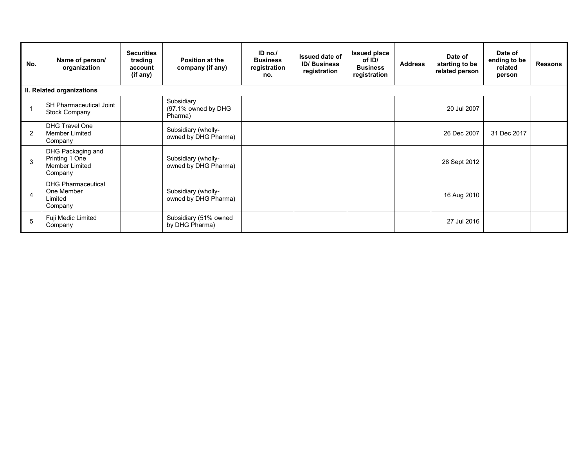| No. | Name of person/<br>organization                                         | <b>Securities</b><br>trading<br>account<br>(if any) | <b>Position at the</b><br>company (if any)   | ID $no.'$<br><b>Business</b><br>registration<br>no. | <b>Issued date of</b><br><b>ID/Business</b><br>registration | <b>Issued place</b><br>of ID/<br><b>Business</b><br>registration | <b>Address</b> | Date of<br>starting to be<br>related person | Date of<br>ending to be<br>related<br>person | <b>Reasons</b> |
|-----|-------------------------------------------------------------------------|-----------------------------------------------------|----------------------------------------------|-----------------------------------------------------|-------------------------------------------------------------|------------------------------------------------------------------|----------------|---------------------------------------------|----------------------------------------------|----------------|
|     | II. Related organizations                                               |                                                     |                                              |                                                     |                                                             |                                                                  |                |                                             |                                              |                |
|     | SH Pharmaceutical Joint<br>Stock Company                                |                                                     | Subsidiary<br>(97.1% owned by DHG<br>Pharma) |                                                     |                                                             |                                                                  |                | 20 Jul 2007                                 |                                              |                |
| 2   | <b>DHG Travel One</b><br><b>Member Limited</b><br>Company               |                                                     | Subsidiary (wholly-<br>owned by DHG Pharma)  |                                                     |                                                             |                                                                  |                | 26 Dec 2007                                 | 31 Dec 2017                                  |                |
| 3   | DHG Packaging and<br>Printing 1 One<br><b>Member Limited</b><br>Company |                                                     | Subsidiary (wholly-<br>owned by DHG Pharma)  |                                                     |                                                             |                                                                  |                | 28 Sept 2012                                |                                              |                |
| 4   | <b>DHG Pharmaceutical</b><br>One Member<br>Limited<br>Company           |                                                     | Subsidiary (wholly-<br>owned by DHG Pharma)  |                                                     |                                                             |                                                                  |                | 16 Aug 2010                                 |                                              |                |
| 5   | Fuji Medic Limited<br>Company                                           |                                                     | Subsidiary (51% owned<br>by DHG Pharma)      |                                                     |                                                             |                                                                  |                | 27 Jul 2016                                 |                                              |                |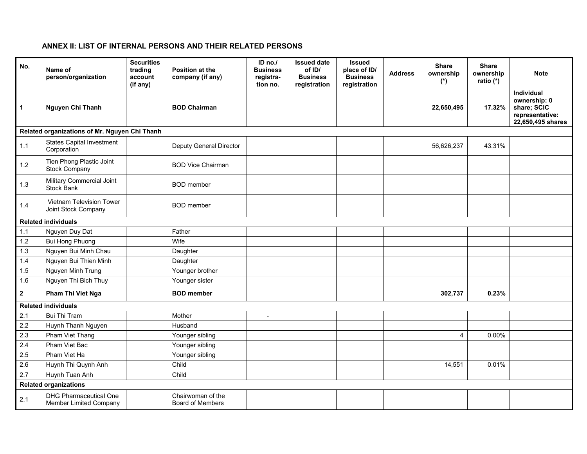# **ANNEX II: LIST OF INTERNAL PERSONS AND THEIR RELATED PERSONS**

| No.                        | Name of<br>person/organization                                 | <b>Securities</b><br>trading<br>account<br>(if any) | Position at the<br>company (if any)          | ID no./<br><b>Business</b><br>registra-<br>tion no. | <b>Issued date</b><br>of ID/<br><b>Business</b><br>registration | <b>Issued</b><br>place of ID/<br><b>Business</b><br>registration | <b>Address</b> | <b>Share</b><br>ownership<br>$(*)$ | <b>Share</b><br>ownership<br>ratio (*) | <b>Note</b>                                                                              |
|----------------------------|----------------------------------------------------------------|-----------------------------------------------------|----------------------------------------------|-----------------------------------------------------|-----------------------------------------------------------------|------------------------------------------------------------------|----------------|------------------------------------|----------------------------------------|------------------------------------------------------------------------------------------|
| $\overline{1}$             | Nguyen Chi Thanh                                               |                                                     | <b>BOD Chairman</b>                          |                                                     |                                                                 |                                                                  |                | 22,650,495                         | 17.32%                                 | <b>Individual</b><br>ownership: 0<br>share; SCIC<br>representative:<br>22,650,495 shares |
|                            | Related organizations of Mr. Nguyen Chi Thanh                  |                                                     |                                              |                                                     |                                                                 |                                                                  |                |                                    |                                        |                                                                                          |
| $1.1$                      | <b>States Capital Investment</b><br>Corporation                |                                                     | Deputy General Director                      |                                                     |                                                                 |                                                                  |                | 56,626,237                         | 43.31%                                 |                                                                                          |
| $1.2$                      | Tien Phong Plastic Joint<br>Stock Company                      |                                                     | <b>BOD Vice Chairman</b>                     |                                                     |                                                                 |                                                                  |                |                                    |                                        |                                                                                          |
| 1.3                        | <b>Military Commercial Joint</b><br>Stock Bank                 |                                                     | <b>BOD</b> member                            |                                                     |                                                                 |                                                                  |                |                                    |                                        |                                                                                          |
| 1.4                        | Vietnam Television Tower<br>Joint Stock Company                |                                                     | <b>BOD</b> member                            |                                                     |                                                                 |                                                                  |                |                                    |                                        |                                                                                          |
| <b>Related individuals</b> |                                                                |                                                     |                                              |                                                     |                                                                 |                                                                  |                |                                    |                                        |                                                                                          |
| 1.1                        | Nguyen Duy Dat                                                 |                                                     | Father                                       |                                                     |                                                                 |                                                                  |                |                                    |                                        |                                                                                          |
| $1.2$                      | <b>Bui Hong Phuong</b>                                         |                                                     | Wife                                         |                                                     |                                                                 |                                                                  |                |                                    |                                        |                                                                                          |
| 1.3                        | Nguyen Bui Minh Chau                                           |                                                     | Daughter                                     |                                                     |                                                                 |                                                                  |                |                                    |                                        |                                                                                          |
| 1.4                        | Nguyen Bui Thien Minh                                          |                                                     | Daughter                                     |                                                     |                                                                 |                                                                  |                |                                    |                                        |                                                                                          |
| 1.5                        | Nguyen Minh Trung                                              |                                                     | Younger brother                              |                                                     |                                                                 |                                                                  |                |                                    |                                        |                                                                                          |
| 1.6                        | Nguyen Thi Bich Thuy                                           |                                                     | Younger sister                               |                                                     |                                                                 |                                                                  |                |                                    |                                        |                                                                                          |
| $\overline{\mathbf{2}}$    | Pham Thi Viet Nga                                              |                                                     | <b>BOD</b> member                            |                                                     |                                                                 |                                                                  |                | 302,737                            | 0.23%                                  |                                                                                          |
|                            | <b>Related individuals</b>                                     |                                                     |                                              |                                                     |                                                                 |                                                                  |                |                                    |                                        |                                                                                          |
| 2.1                        | <b>Bui Thi Tram</b>                                            |                                                     | Mother                                       | ÷,                                                  |                                                                 |                                                                  |                |                                    |                                        |                                                                                          |
| 2.2                        | Huynh Thanh Nguyen                                             |                                                     | Husband                                      |                                                     |                                                                 |                                                                  |                |                                    |                                        |                                                                                          |
| 2.3                        | Pham Viet Thang                                                |                                                     | Younger sibling                              |                                                     |                                                                 |                                                                  |                | $\overline{\mathbf{4}}$            | 0.00%                                  |                                                                                          |
| 2.4                        | Pham Viet Bac                                                  |                                                     | Younger sibling                              |                                                     |                                                                 |                                                                  |                |                                    |                                        |                                                                                          |
| 2.5                        | Pham Viet Ha                                                   |                                                     | Younger sibling                              |                                                     |                                                                 |                                                                  |                |                                    |                                        |                                                                                          |
| 2.6                        | Huynh Thi Quynh Anh                                            |                                                     | Child                                        |                                                     |                                                                 |                                                                  |                | 14,551                             | 0.01%                                  |                                                                                          |
| 2.7                        | Huynh Tuan Anh                                                 |                                                     | Child                                        |                                                     |                                                                 |                                                                  |                |                                    |                                        |                                                                                          |
|                            | <b>Related organizations</b>                                   |                                                     |                                              |                                                     |                                                                 |                                                                  |                |                                    |                                        |                                                                                          |
| 2.1                        | <b>DHG Pharmaceutical One</b><br><b>Member Limited Company</b> |                                                     | Chairwoman of the<br><b>Board of Members</b> |                                                     |                                                                 |                                                                  |                |                                    |                                        |                                                                                          |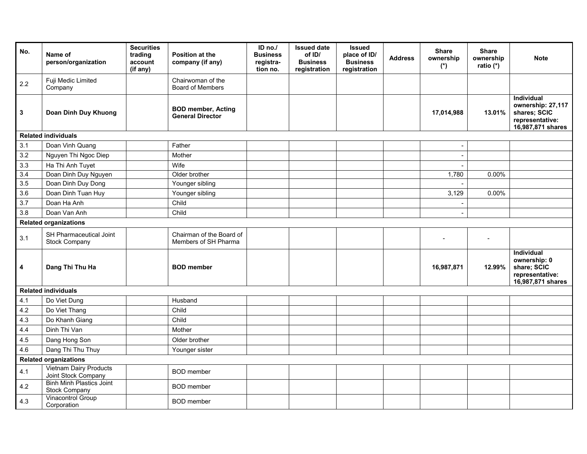| No.              | Name of<br>person/organization                       | <b>Securities</b><br>trading<br>account<br>(if any) | <b>Position at the</b><br>company (if any)           | ID $no.'$<br><b>Business</b><br>registra-<br>tion no. | <b>Issued date</b><br>of ID/<br><b>Business</b><br>registration | <b>Issued</b><br>place of ID/<br><b>Business</b><br>registration | <b>Address</b> | <b>Share</b><br>ownership<br>$(*)$ | <b>Share</b><br>ownership<br>ratio (*) | <b>Note</b>                                                                                    |
|------------------|------------------------------------------------------|-----------------------------------------------------|------------------------------------------------------|-------------------------------------------------------|-----------------------------------------------------------------|------------------------------------------------------------------|----------------|------------------------------------|----------------------------------------|------------------------------------------------------------------------------------------------|
| 2.2              | Fuji Medic Limited<br>Company                        |                                                     | Chairwoman of the<br><b>Board of Members</b>         |                                                       |                                                                 |                                                                  |                |                                    |                                        |                                                                                                |
| 3                | Doan Dinh Duy Khuong                                 |                                                     | <b>BOD member, Acting</b><br><b>General Director</b> |                                                       |                                                                 |                                                                  |                | 17,014,988                         | 13.01%                                 | <b>Individual</b><br>ownership: 27,117<br>shares; SCIC<br>representative:<br>16,987,871 shares |
|                  | <b>Related individuals</b>                           |                                                     |                                                      |                                                       |                                                                 |                                                                  |                |                                    |                                        |                                                                                                |
| 3.1              | Doan Vinh Quang                                      |                                                     | Father                                               |                                                       |                                                                 |                                                                  |                | $\overline{\phantom{a}}$           |                                        |                                                                                                |
| 3.2              | Nguyen Thi Ngoc Diep                                 |                                                     | Mother                                               |                                                       |                                                                 |                                                                  |                | $\overline{\phantom{a}}$           |                                        |                                                                                                |
| 3.3              | Ha Thi Anh Tuyet                                     |                                                     | Wife                                                 |                                                       |                                                                 |                                                                  |                |                                    |                                        |                                                                                                |
| $\overline{3.4}$ | Doan Dinh Duy Nguyen                                 |                                                     | Older brother                                        |                                                       |                                                                 |                                                                  |                | 1,780                              | 0.00%                                  |                                                                                                |
| 3.5              | Doan Dinh Duy Dong                                   |                                                     | Younger sibling                                      |                                                       |                                                                 |                                                                  |                |                                    |                                        |                                                                                                |
| 3.6              | Doan Dinh Tuan Huy                                   |                                                     | Younger sibling                                      |                                                       |                                                                 |                                                                  |                | 3,129                              | 0.00%                                  |                                                                                                |
| 3.7              | Doan Ha Anh                                          |                                                     | Child                                                |                                                       |                                                                 |                                                                  |                |                                    |                                        |                                                                                                |
| 3.8              | Doan Van Anh                                         |                                                     | Child                                                |                                                       |                                                                 |                                                                  |                |                                    |                                        |                                                                                                |
|                  | <b>Related organizations</b>                         |                                                     |                                                      |                                                       |                                                                 |                                                                  |                |                                    |                                        |                                                                                                |
| 3.1              | SH Pharmaceutical Joint<br><b>Stock Company</b>      |                                                     | Chairman of the Board of<br>Members of SH Pharma     |                                                       |                                                                 |                                                                  |                |                                    |                                        |                                                                                                |
| 4                | Dang Thi Thu Ha                                      |                                                     | <b>BOD</b> member                                    |                                                       |                                                                 |                                                                  |                | 16,987,871                         | 12.99%                                 | Individual<br>ownership: 0<br>share; SCIC<br>representative:<br>16,987,871 shares              |
|                  | <b>Related individuals</b>                           |                                                     |                                                      |                                                       |                                                                 |                                                                  |                |                                    |                                        |                                                                                                |
| 4.1              | Do Viet Dung                                         |                                                     | Husband                                              |                                                       |                                                                 |                                                                  |                |                                    |                                        |                                                                                                |
| 4.2              | Do Viet Thang                                        |                                                     | Child                                                |                                                       |                                                                 |                                                                  |                |                                    |                                        |                                                                                                |
| 4.3              | Do Khanh Giang                                       |                                                     | Child                                                |                                                       |                                                                 |                                                                  |                |                                    |                                        |                                                                                                |
| 4.4              | Dinh Thi Van                                         |                                                     | Mother                                               |                                                       |                                                                 |                                                                  |                |                                    |                                        |                                                                                                |
| 4.5              | Dang Hong Son                                        |                                                     | Older brother                                        |                                                       |                                                                 |                                                                  |                |                                    |                                        |                                                                                                |
| 4.6              | Dang Thi Thu Thuy                                    |                                                     | Younger sister                                       |                                                       |                                                                 |                                                                  |                |                                    |                                        |                                                                                                |
|                  | <b>Related organizations</b>                         |                                                     |                                                      |                                                       |                                                                 |                                                                  |                |                                    |                                        |                                                                                                |
| 4.1              | <b>Vietnam Dairy Products</b><br>Joint Stock Company |                                                     | <b>BOD</b> member                                    |                                                       |                                                                 |                                                                  |                |                                    |                                        |                                                                                                |
| 4.2              | <b>Binh Minh Plastics Joint</b><br>Stock Company     |                                                     | <b>BOD</b> member                                    |                                                       |                                                                 |                                                                  |                |                                    |                                        |                                                                                                |
| 4.3              | Vinacontrol Group<br>Corporation                     |                                                     | <b>BOD</b> member                                    |                                                       |                                                                 |                                                                  |                |                                    |                                        |                                                                                                |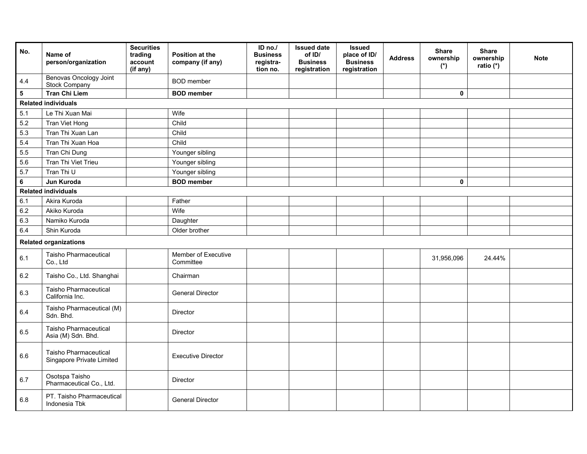| No.                     | Name of<br>person/organization                     | <b>Securities</b><br>trading<br>account<br>(if any) | Position at the<br>company (if any) | $ID$ no./<br><b>Business</b><br>registra-<br>tion no. | <b>Issued date</b><br>of ID/<br><b>Business</b><br>registration | <b>Issued</b><br>place of ID/<br><b>Business</b><br>registration | <b>Address</b> | <b>Share</b><br>ownership<br>$(*)$ | <b>Share</b><br>ownership<br>ratio (*) | <b>Note</b> |
|-------------------------|----------------------------------------------------|-----------------------------------------------------|-------------------------------------|-------------------------------------------------------|-----------------------------------------------------------------|------------------------------------------------------------------|----------------|------------------------------------|----------------------------------------|-------------|
| 4.4                     | Benovas Oncology Joint<br>Stock Company            |                                                     | <b>BOD</b> member                   |                                                       |                                                                 |                                                                  |                |                                    |                                        |             |
| $\overline{\mathbf{5}}$ | <b>Tran Chi Liem</b>                               |                                                     | <b>BOD</b> member                   |                                                       |                                                                 |                                                                  |                | $\pmb{0}$                          |                                        |             |
|                         | <b>Related individuals</b>                         |                                                     |                                     |                                                       |                                                                 |                                                                  |                |                                    |                                        |             |
| 5.1                     | Le Thi Xuan Mai                                    |                                                     | Wife                                |                                                       |                                                                 |                                                                  |                |                                    |                                        |             |
| $5.2\,$                 | Tran Viet Hong                                     |                                                     | Child                               |                                                       |                                                                 |                                                                  |                |                                    |                                        |             |
| 5.3                     | Tran Thi Xuan Lan                                  |                                                     | Child                               |                                                       |                                                                 |                                                                  |                |                                    |                                        |             |
| 5.4                     | Tran Thi Xuan Hoa                                  |                                                     | Child                               |                                                       |                                                                 |                                                                  |                |                                    |                                        |             |
| 5.5                     | Tran Chi Dung                                      |                                                     | Younger sibling                     |                                                       |                                                                 |                                                                  |                |                                    |                                        |             |
| 5.6                     | Tran Thi Viet Trieu                                |                                                     | Younger sibling                     |                                                       |                                                                 |                                                                  |                |                                    |                                        |             |
| 5.7                     | Tran Thi U                                         |                                                     | Younger sibling                     |                                                       |                                                                 |                                                                  |                |                                    |                                        |             |
| $\bf 6$                 | Jun Kuroda                                         |                                                     | <b>BOD</b> member                   |                                                       |                                                                 |                                                                  |                | 0                                  |                                        |             |
|                         | <b>Related individuals</b>                         |                                                     |                                     |                                                       |                                                                 |                                                                  |                |                                    |                                        |             |
| 6.1                     | Akira Kuroda                                       |                                                     | Father                              |                                                       |                                                                 |                                                                  |                |                                    |                                        |             |
| 6.2                     | Akiko Kuroda                                       |                                                     | Wife                                |                                                       |                                                                 |                                                                  |                |                                    |                                        |             |
| 6.3                     | Namiko Kuroda                                      |                                                     | Daughter                            |                                                       |                                                                 |                                                                  |                |                                    |                                        |             |
| 6.4                     | Shin Kuroda                                        |                                                     | Older brother                       |                                                       |                                                                 |                                                                  |                |                                    |                                        |             |
|                         | <b>Related organizations</b>                       |                                                     |                                     |                                                       |                                                                 |                                                                  |                |                                    |                                        |             |
| 6.1                     | Taisho Pharmaceutical<br>Co., Ltd                  |                                                     | Member of Executive<br>Committee    |                                                       |                                                                 |                                                                  |                | 31,956,096                         | 24.44%                                 |             |
| 6.2                     | Taisho Co., Ltd. Shanghai                          |                                                     | Chairman                            |                                                       |                                                                 |                                                                  |                |                                    |                                        |             |
| 6.3                     | Taisho Pharmaceutical<br>California Inc.           |                                                     | <b>General Director</b>             |                                                       |                                                                 |                                                                  |                |                                    |                                        |             |
| 6.4                     | Taisho Pharmaceutical (M)<br>Sdn. Bhd.             |                                                     | Director                            |                                                       |                                                                 |                                                                  |                |                                    |                                        |             |
| 6.5                     | Taisho Pharmaceutical<br>Asia (M) Sdn. Bhd.        |                                                     | Director                            |                                                       |                                                                 |                                                                  |                |                                    |                                        |             |
| 6.6                     | Taisho Pharmaceutical<br>Singapore Private Limited |                                                     | <b>Executive Director</b>           |                                                       |                                                                 |                                                                  |                |                                    |                                        |             |
| 6.7                     | Osotspa Taisho<br>Pharmaceutical Co., Ltd.         |                                                     | <b>Director</b>                     |                                                       |                                                                 |                                                                  |                |                                    |                                        |             |
| 6.8                     | PT. Taisho Pharmaceutical<br>Indonesia Tbk         |                                                     | <b>General Director</b>             |                                                       |                                                                 |                                                                  |                |                                    |                                        |             |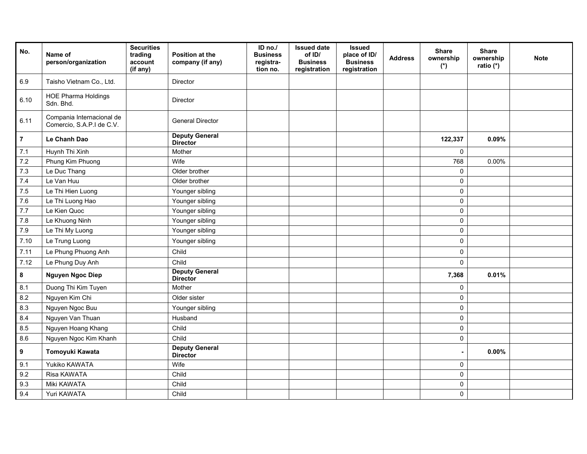| No.              | Name of<br>person/organization                         | <b>Securities</b><br>trading<br>account<br>(if any) | <b>Position at the</b><br>company (if any) | ID no./<br><b>Business</b><br>registra-<br>tion no. | <b>Issued date</b><br>of ID/<br><b>Business</b><br>registration | <b>Issued</b><br>place of ID/<br><b>Business</b><br>registration | <b>Address</b> | <b>Share</b><br>ownership<br>$(*)$ | <b>Share</b><br>ownership<br>ratio (*) | <b>Note</b> |
|------------------|--------------------------------------------------------|-----------------------------------------------------|--------------------------------------------|-----------------------------------------------------|-----------------------------------------------------------------|------------------------------------------------------------------|----------------|------------------------------------|----------------------------------------|-------------|
| 6.9              | Taisho Vietnam Co., Ltd.                               |                                                     | <b>Director</b>                            |                                                     |                                                                 |                                                                  |                |                                    |                                        |             |
| 6.10             | <b>HOE Pharma Holdings</b><br>Sdn. Bhd.                |                                                     | Director                                   |                                                     |                                                                 |                                                                  |                |                                    |                                        |             |
| 6.11             | Compania Internacional de<br>Comercio, S.A.P.I de C.V. |                                                     | <b>General Director</b>                    |                                                     |                                                                 |                                                                  |                |                                    |                                        |             |
| $\overline{7}$   | Le Chanh Dao                                           |                                                     | <b>Deputy General</b><br><b>Director</b>   |                                                     |                                                                 |                                                                  |                | 122,337                            | 0.09%                                  |             |
| 7.1              | Huynh Thi Xinh                                         |                                                     | Mother                                     |                                                     |                                                                 |                                                                  |                | 0                                  |                                        |             |
| 7.2              | Phung Kim Phuong                                       |                                                     | Wife                                       |                                                     |                                                                 |                                                                  |                | 768                                | 0.00%                                  |             |
| 7.3              | Le Duc Thang                                           |                                                     | Older brother                              |                                                     |                                                                 |                                                                  |                | $\pmb{0}$                          |                                        |             |
| 7.4              | Le Van Huu                                             |                                                     | Older brother                              |                                                     |                                                                 |                                                                  |                | $\mathsf 0$                        |                                        |             |
| 7.5              | Le Thi Hien Luong                                      |                                                     | Younger sibling                            |                                                     |                                                                 |                                                                  |                | $\mathsf 0$                        |                                        |             |
| 7.6              | Le Thi Luong Hao                                       |                                                     | Younger sibling                            |                                                     |                                                                 |                                                                  |                | $\pmb{0}$                          |                                        |             |
| 7.7              | Le Kien Quoc                                           |                                                     | Younger sibling                            |                                                     |                                                                 |                                                                  |                | $\pmb{0}$                          |                                        |             |
| 7.8              | Le Khuong Ninh                                         |                                                     | Younger sibling                            |                                                     |                                                                 |                                                                  |                | $\pmb{0}$                          |                                        |             |
| 7.9              | Le Thi My Luong                                        |                                                     | Younger sibling                            |                                                     |                                                                 |                                                                  |                | $\mathsf 0$                        |                                        |             |
| 7.10             | Le Trung Luong                                         |                                                     | Younger sibling                            |                                                     |                                                                 |                                                                  |                | 0                                  |                                        |             |
| 7.11             | Le Phung Phuong Anh                                    |                                                     | Child                                      |                                                     |                                                                 |                                                                  |                | 0                                  |                                        |             |
| 7.12             | Le Phung Duy Anh                                       |                                                     | Child                                      |                                                     |                                                                 |                                                                  |                | 0                                  |                                        |             |
| 8                | <b>Nguyen Ngoc Diep</b>                                |                                                     | <b>Deputy General</b><br><b>Director</b>   |                                                     |                                                                 |                                                                  |                | 7,368                              | 0.01%                                  |             |
| 8.1              | Duong Thi Kim Tuyen                                    |                                                     | Mother                                     |                                                     |                                                                 |                                                                  |                | 0                                  |                                        |             |
| 8.2              | Nguyen Kim Chi                                         |                                                     | Older sister                               |                                                     |                                                                 |                                                                  |                | $\pmb{0}$                          |                                        |             |
| 8.3              | Nguyen Ngoc Buu                                        |                                                     | Younger sibling                            |                                                     |                                                                 |                                                                  |                | $\mathbf 0$                        |                                        |             |
| 8.4              | Nguyen Van Thuan                                       |                                                     | Husband                                    |                                                     |                                                                 |                                                                  |                | 0                                  |                                        |             |
| 8.5              | Nguyen Hoang Khang                                     |                                                     | Child                                      |                                                     |                                                                 |                                                                  |                | 0                                  |                                        |             |
| 8.6              | Nguyen Ngoc Kim Khanh                                  |                                                     | Child                                      |                                                     |                                                                 |                                                                  |                | 0                                  |                                        |             |
| $\boldsymbol{9}$ | Tomoyuki Kawata                                        |                                                     | <b>Deputy General</b><br><b>Director</b>   |                                                     |                                                                 |                                                                  |                | $\blacksquare$                     | $0.00\%$                               |             |
| 9.1              | Yukiko KAWATA                                          |                                                     | Wife                                       |                                                     |                                                                 |                                                                  |                | $\mathbf 0$                        |                                        |             |
| 9.2              | Risa KAWATA                                            |                                                     | Child                                      |                                                     |                                                                 |                                                                  |                | $\mathsf 0$                        |                                        |             |
| 9.3              | Miki KAWATA                                            |                                                     | Child                                      |                                                     |                                                                 |                                                                  |                | 0                                  |                                        |             |
| 9.4              | Yuri KAWATA                                            |                                                     | Child                                      |                                                     |                                                                 |                                                                  |                | 0                                  |                                        |             |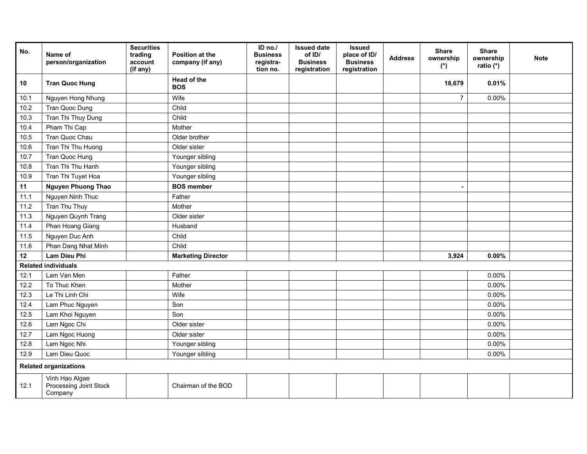| No.  | Name of<br>person/organization                      | <b>Securities</b><br>trading<br>account<br>(if any) | Position at the<br>company (if any) | ID no./<br><b>Business</b><br>registra-<br>tion no. | <b>Issued date</b><br>of ID/<br><b>Business</b><br>registration | <b>Issued</b><br>place of ID/<br><b>Business</b><br>registration | <b>Address</b> | <b>Share</b><br>ownership<br>$(*)$ | <b>Share</b><br>ownership<br>ratio (*) | <b>Note</b> |
|------|-----------------------------------------------------|-----------------------------------------------------|-------------------------------------|-----------------------------------------------------|-----------------------------------------------------------------|------------------------------------------------------------------|----------------|------------------------------------|----------------------------------------|-------------|
| 10   | <b>Tran Quoc Hung</b>                               |                                                     | Head of the<br><b>BOS</b>           |                                                     |                                                                 |                                                                  |                | 18,679                             | 0.01%                                  |             |
| 10.1 | Nguyen Hong Nhung                                   |                                                     | Wife                                |                                                     |                                                                 |                                                                  |                | $\overline{7}$                     | $0.00\%$                               |             |
| 10.2 | Tran Quoc Dung                                      |                                                     | Child                               |                                                     |                                                                 |                                                                  |                |                                    |                                        |             |
| 10.3 | Tran Thi Thuy Dung                                  |                                                     | Child                               |                                                     |                                                                 |                                                                  |                |                                    |                                        |             |
| 10.4 | Pham Thi Cap                                        |                                                     | Mother                              |                                                     |                                                                 |                                                                  |                |                                    |                                        |             |
| 10.5 | Tran Quoc Chau                                      |                                                     | Older brother                       |                                                     |                                                                 |                                                                  |                |                                    |                                        |             |
| 10.6 | Tran Thi Thu Huong                                  |                                                     | Older sister                        |                                                     |                                                                 |                                                                  |                |                                    |                                        |             |
| 10.7 | Tran Quoc Hung                                      |                                                     | Younger sibling                     |                                                     |                                                                 |                                                                  |                |                                    |                                        |             |
| 10.8 | Tran Thi Thu Hanh                                   |                                                     | Younger sibling                     |                                                     |                                                                 |                                                                  |                |                                    |                                        |             |
| 10.9 | Tran Thi Tuyet Hoa                                  |                                                     | Younger sibling                     |                                                     |                                                                 |                                                                  |                |                                    |                                        |             |
| 11   | <b>Nguyen Phuong Thao</b>                           |                                                     | <b>BOS</b> member                   |                                                     |                                                                 |                                                                  |                |                                    |                                        |             |
| 11.1 | Nguyen Ninh Thuc                                    |                                                     | Father                              |                                                     |                                                                 |                                                                  |                |                                    |                                        |             |
| 11.2 | Tran Thu Thuy                                       |                                                     | Mother                              |                                                     |                                                                 |                                                                  |                |                                    |                                        |             |
| 11.3 | Nguyen Quynh Trang                                  |                                                     | Older sister                        |                                                     |                                                                 |                                                                  |                |                                    |                                        |             |
| 11.4 | Phan Hoang Giang                                    |                                                     | Husband                             |                                                     |                                                                 |                                                                  |                |                                    |                                        |             |
| 11.5 | Nguyen Duc Anh                                      |                                                     | Child                               |                                                     |                                                                 |                                                                  |                |                                    |                                        |             |
| 11.6 | Phan Dang Nhat Minh                                 |                                                     | Child                               |                                                     |                                                                 |                                                                  |                |                                    |                                        |             |
| 12   | <b>Lam Dieu Phi</b>                                 |                                                     | <b>Marketing Director</b>           |                                                     |                                                                 |                                                                  |                | 3,924                              | $0.00\%$                               |             |
|      | <b>Related individuals</b>                          |                                                     |                                     |                                                     |                                                                 |                                                                  |                |                                    |                                        |             |
| 12.1 | Lam Van Men                                         |                                                     | Father                              |                                                     |                                                                 |                                                                  |                |                                    | $0.00\%$                               |             |
| 12.2 | To Thuc Khen                                        |                                                     | Mother                              |                                                     |                                                                 |                                                                  |                |                                    | 0.00%                                  |             |
| 12.3 | Le Thi Linh Chi                                     |                                                     | Wife                                |                                                     |                                                                 |                                                                  |                |                                    | $0.00\%$                               |             |
| 12.4 | Lam Phuc Nguyen                                     |                                                     | Son                                 |                                                     |                                                                 |                                                                  |                |                                    | 0.00%                                  |             |
| 12.5 | Lam Khoi Nguyen                                     |                                                     | Son                                 |                                                     |                                                                 |                                                                  |                |                                    | 0.00%                                  |             |
| 12.6 | Lam Ngoc Chi                                        |                                                     | Older sister                        |                                                     |                                                                 |                                                                  |                |                                    | $0.00\%$                               |             |
| 12.7 | Lam Ngoc Huong                                      |                                                     | Older sister                        |                                                     |                                                                 |                                                                  |                |                                    | 0.00%                                  |             |
| 12.8 | Lam Ngoc Nhi                                        |                                                     | Younger sibling                     |                                                     |                                                                 |                                                                  |                |                                    | 0.00%                                  |             |
| 12.9 | Lam Dieu Quoc                                       |                                                     | Younger sibling                     |                                                     |                                                                 |                                                                  |                |                                    | 0.00%                                  |             |
|      | <b>Related organizations</b>                        |                                                     |                                     |                                                     |                                                                 |                                                                  |                |                                    |                                        |             |
| 12.1 | Vinh Hao Algae<br>Processing Joint Stock<br>Company |                                                     | Chairman of the BOD                 |                                                     |                                                                 |                                                                  |                |                                    |                                        |             |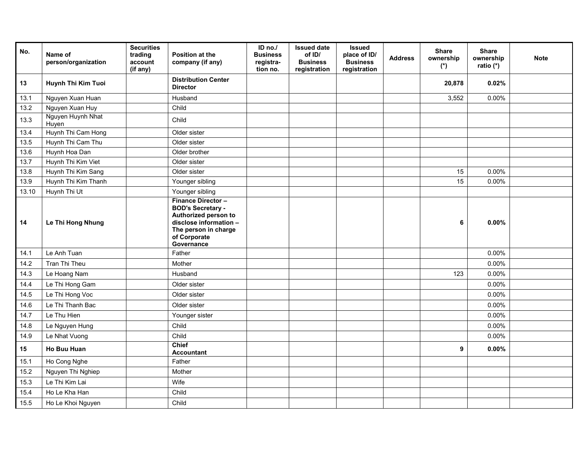| No.   | Name of<br>person/organization | <b>Securities</b><br>trading<br>account<br>(if any) | Position at the<br>company (if any)                                                                                                                           | ID no./<br><b>Business</b><br>registra-<br>tion no. | <b>Issued date</b><br>of ID/<br><b>Business</b><br>registration | <b>Issued</b><br>place of ID/<br><b>Business</b><br>registration | <b>Address</b> | <b>Share</b><br>ownership<br>$(*)$ | <b>Share</b><br>ownership<br>ratio (*) | <b>Note</b> |
|-------|--------------------------------|-----------------------------------------------------|---------------------------------------------------------------------------------------------------------------------------------------------------------------|-----------------------------------------------------|-----------------------------------------------------------------|------------------------------------------------------------------|----------------|------------------------------------|----------------------------------------|-------------|
| 13    | Huynh Thi Kim Tuoi             |                                                     | <b>Distribution Center</b><br><b>Director</b>                                                                                                                 |                                                     |                                                                 |                                                                  |                | 20,878                             | 0.02%                                  |             |
| 13.1  | Nguyen Xuan Huan               |                                                     | Husband                                                                                                                                                       |                                                     |                                                                 |                                                                  |                | 3,552                              | 0.00%                                  |             |
| 13.2  | Nguyen Xuan Huy                |                                                     | Child                                                                                                                                                         |                                                     |                                                                 |                                                                  |                |                                    |                                        |             |
| 13.3  | Nguyen Huynh Nhat<br>Huyen     |                                                     | Child                                                                                                                                                         |                                                     |                                                                 |                                                                  |                |                                    |                                        |             |
| 13.4  | Huynh Thi Cam Hong             |                                                     | Older sister                                                                                                                                                  |                                                     |                                                                 |                                                                  |                |                                    |                                        |             |
| 13.5  | Huynh Thi Cam Thu              |                                                     | Older sister                                                                                                                                                  |                                                     |                                                                 |                                                                  |                |                                    |                                        |             |
| 13.6  | Huynh Hoa Dan                  |                                                     | Older brother                                                                                                                                                 |                                                     |                                                                 |                                                                  |                |                                    |                                        |             |
| 13.7  | Huynh Thi Kim Viet             |                                                     | Older sister                                                                                                                                                  |                                                     |                                                                 |                                                                  |                |                                    |                                        |             |
| 13.8  | Huynh Thi Kim Sang             |                                                     | Older sister                                                                                                                                                  |                                                     |                                                                 |                                                                  |                | 15                                 | 0.00%                                  |             |
| 13.9  | Huynh Thi Kim Thanh            |                                                     | Younger sibling                                                                                                                                               |                                                     |                                                                 |                                                                  |                | 15                                 | $0.00\%$                               |             |
| 13.10 | Huynh Thi Ut                   |                                                     | Younger sibling                                                                                                                                               |                                                     |                                                                 |                                                                  |                |                                    |                                        |             |
| 14    | Le Thi Hong Nhung              |                                                     | <b>Finance Director -</b><br><b>BOD's Secretary -</b><br>Authorized person to<br>disclose information -<br>The person in charge<br>of Corporate<br>Governance |                                                     |                                                                 |                                                                  |                | 6                                  | 0.00%                                  |             |
| 14.1  | Le Anh Tuan                    |                                                     | Father                                                                                                                                                        |                                                     |                                                                 |                                                                  |                |                                    | 0.00%                                  |             |
| 14.2  | Tran Thi Theu                  |                                                     | Mother                                                                                                                                                        |                                                     |                                                                 |                                                                  |                |                                    | 0.00%                                  |             |
| 14.3  | Le Hoang Nam                   |                                                     | Husband                                                                                                                                                       |                                                     |                                                                 |                                                                  |                | 123                                | $0.00\%$                               |             |
| 14.4  | Le Thi Hong Gam                |                                                     | Older sister                                                                                                                                                  |                                                     |                                                                 |                                                                  |                |                                    | 0.00%                                  |             |
| 14.5  | Le Thi Hong Voc                |                                                     | Older sister                                                                                                                                                  |                                                     |                                                                 |                                                                  |                |                                    | 0.00%                                  |             |
| 14.6  | Le Thi Thanh Bac               |                                                     | Older sister                                                                                                                                                  |                                                     |                                                                 |                                                                  |                |                                    | 0.00%                                  |             |
| 14.7  | Le Thu Hien                    |                                                     | Younger sister                                                                                                                                                |                                                     |                                                                 |                                                                  |                |                                    | 0.00%                                  |             |
| 14.8  | Le Nguyen Hung                 |                                                     | Child                                                                                                                                                         |                                                     |                                                                 |                                                                  |                |                                    | 0.00%                                  |             |
| 14.9  | Le Nhat Vuong                  |                                                     | Child                                                                                                                                                         |                                                     |                                                                 |                                                                  |                |                                    | 0.00%                                  |             |
| 15    | <b>Ho Buu Huan</b>             |                                                     | <b>Chief</b><br><b>Accountant</b>                                                                                                                             |                                                     |                                                                 |                                                                  |                | 9                                  | $0.00\%$                               |             |
| 15.1  | Ho Cong Nghe                   |                                                     | Father                                                                                                                                                        |                                                     |                                                                 |                                                                  |                |                                    |                                        |             |
| 15.2  | Nguyen Thi Nghiep              |                                                     | Mother                                                                                                                                                        |                                                     |                                                                 |                                                                  |                |                                    |                                        |             |
| 15.3  | Le Thi Kim Lai                 |                                                     | Wife                                                                                                                                                          |                                                     |                                                                 |                                                                  |                |                                    |                                        |             |
| 15.4  | Ho Le Kha Han                  |                                                     | Child                                                                                                                                                         |                                                     |                                                                 |                                                                  |                |                                    |                                        |             |
| 15.5  | Ho Le Khoi Nguyen              |                                                     | Child                                                                                                                                                         |                                                     |                                                                 |                                                                  |                |                                    |                                        |             |